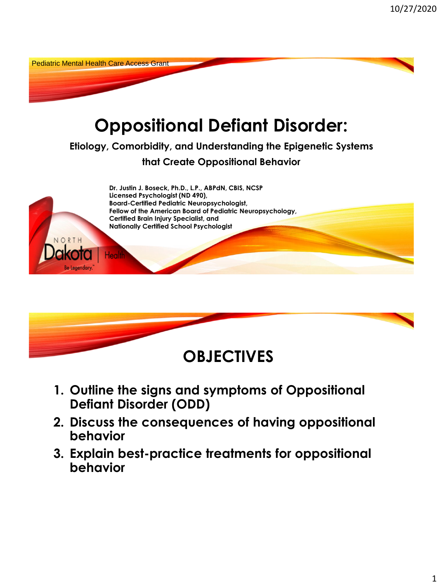



- **1. Outline the signs and symptoms of Oppositional Defiant Disorder (ODD)**
- **2. Discuss the consequences of having oppositional behavior**
- **3. Explain best-practice treatments for oppositional behavior**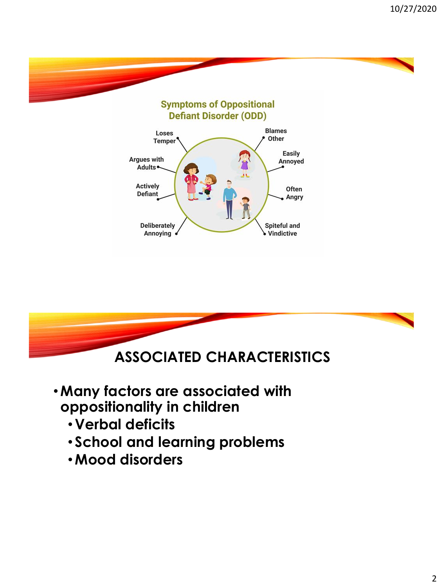



- •**Many factors are associated with oppositionality in children**
	- **Verbal deficits**
	- **School and learning problems**
	- •**Mood disorders**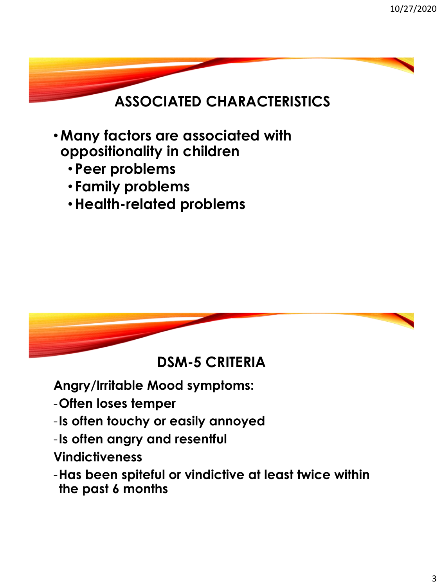## **ASSOCIATED CHARACTERISTICS**

- •**Many factors are associated with oppositionality in children**
	- **Peer problems**
	- **Family problems**
	- •**Health-related problems**



**DSM-5 CRITERIA**

**Angry/Irritable Mood symptoms:**

- -**Often loses temper**
- -**Is often touchy or easily annoyed**
- -**Is often angry and resentful**
- **Vindictiveness**
- -**Has been spiteful or vindictive at least twice within the past 6 months**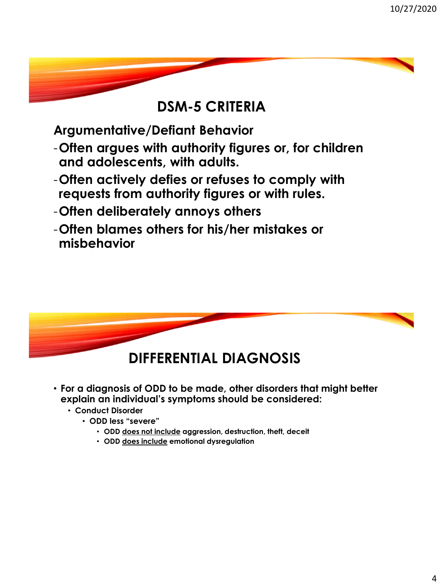#### **DSM-5 CRITERIA**

**Argumentative/Defiant Behavior**

- -**Often argues with authority figures or, for children and adolescents, with adults.**
- -**Often actively defies or refuses to comply with requests from authority figures or with rules.**
- -**Often deliberately annoys others**
- -**Often blames others for his/her mistakes or misbehavior**



- **For a diagnosis of ODD to be made, other disorders that might better explain an individual's symptoms should be considered:**
	- **Conduct Disorder**
		- **ODD less "severe"**
			- **ODD does not include aggression, destruction, theft, deceit**
			- **ODD does include emotional dysregulation**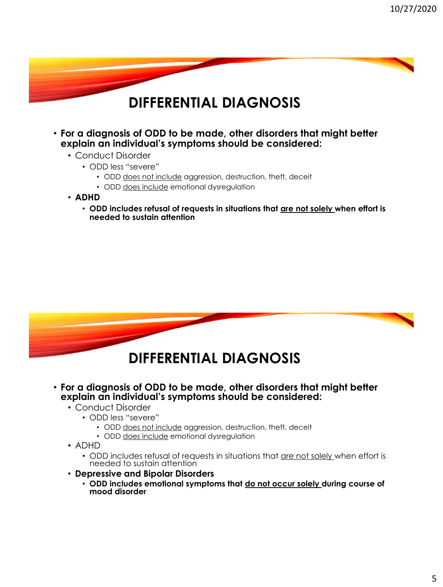#### **DIFFERENTIAL DIAGNOSIS**

- **For a diagnosis of ODD to be made, other disorders that might better explain an individual's symptoms should be considered:**
	- Conduct Disorder
		- ODD less "severe"
			- ODD does not include aggression, destruction, theft, deceit
			- ODD does include emotional dysregulation
	- **ADHD**
		- **ODD includes refusal of requests in situations that are not solely when effort is needed to sustain attention**



- **For a diagnosis of ODD to be made, other disorders that might better explain an individual's symptoms should be considered:**
	- Conduct Disorder
		- ODD less "severe"
			- ODD does not include aggression, destruction, theft, deceit
			- ODD does include emotional dysregulation
	- ADHD
		- ODD includes refusal of requests in situations that are not solely when effort is needed to sustain attention
	- **Depressive and Bipolar Disorders**
		- **ODD includes emotional symptoms that do not occur solely during course of mood disorder**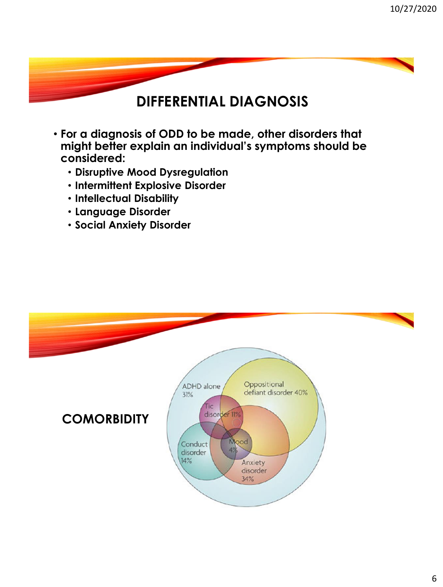#### **DIFFERENTIAL DIAGNOSIS**

- **For a diagnosis of ODD to be made, other disorders that might better explain an individual's symptoms should be considered:**
	- **Disruptive Mood Dysregulation**
	- **Intermittent Explosive Disorder**
	- **Intellectual Disability**
	- **Language Disorder**
	- **Social Anxiety Disorder**

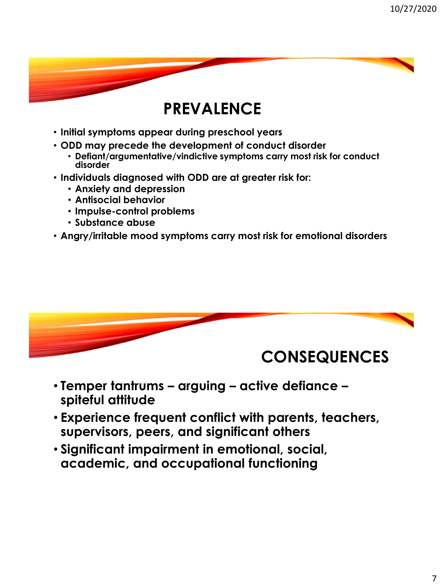## **PREVALENCE**

- **Initial symptoms appear during preschool years**
- **ODD may precede the development of conduct disorder**
	- **Defiant/argumentative/vindictive symptoms carry most risk for conduct disorder**
- **Individuals diagnosed with ODD are at greater risk for:**
	- **Anxiety and depression**
	- **Antisocial behavior**
	- **Impulse-control problems**
	- **Substance abuse**
- **Angry/irritable mood symptoms carry most risk for emotional disorders**



- **Temper tantrums – arguing – active defiance – spiteful attitude**
- **Experience frequent conflict with parents, teachers, supervisors, peers, and significant others**
- **Significant impairment in emotional, social, academic, and occupational functioning**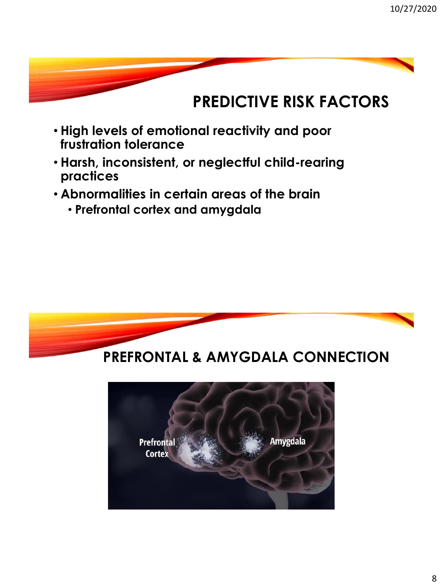

- **High levels of emotional reactivity and poor frustration tolerance**
- **Harsh, inconsistent, or neglectful child-rearing practices**
- **Abnormalities in certain areas of the brain** 
	- **Prefrontal cortex and amygdala**

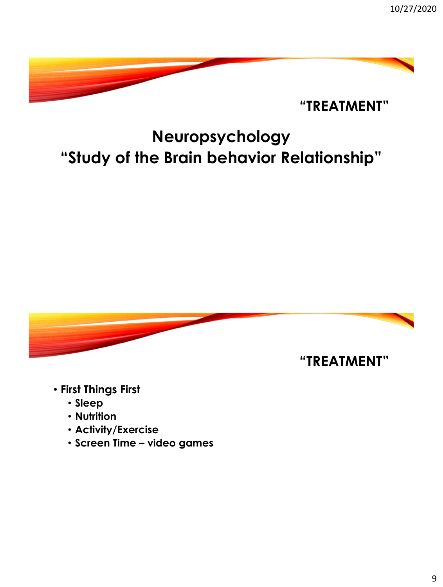

# **Neuropsychology "Study of the Brain behavior Relationship"**



- **First Things First**
	- **Sleep**
	- **Nutrition**
	- **Activity/Exercise**
	- **Screen Time – video games**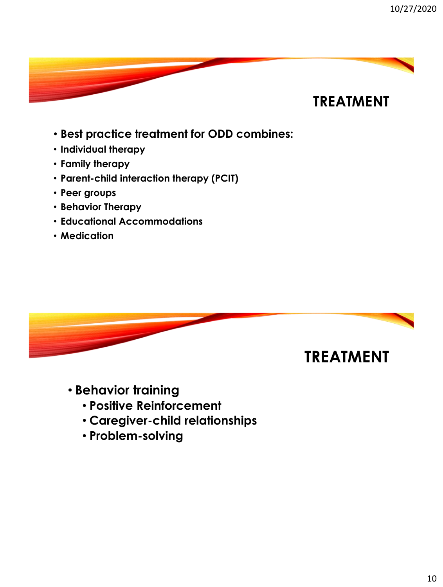

- **Best practice treatment for ODD combines:**
- **Individual therapy**
- **Family therapy**
- **Parent-child interaction therapy (PCIT)**
- **Peer groups**
- **Behavior Therapy**
- **Educational Accommodations**
- **Medication**



- **Behavior training**
	- **Positive Reinforcement**
	- **Caregiver-child relationships**
	- **Problem-solving**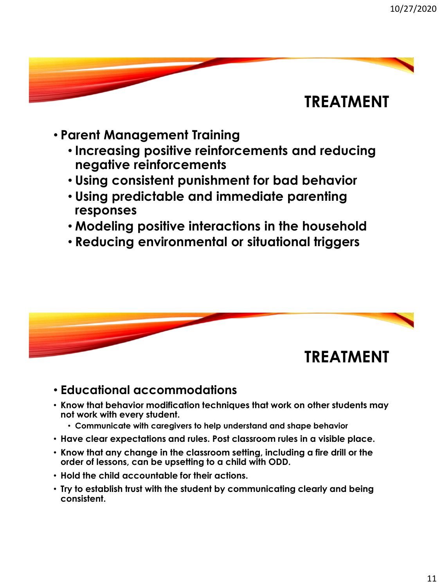### **TREATMENT**

- **Parent Management Training**
	- **Increasing positive reinforcements and reducing negative reinforcements**
	- **Using consistent punishment for bad behavior**
	- **Using predictable and immediate parenting responses**
	- **Modeling positive interactions in the household**
	- **Reducing environmental or situational triggers**



#### • **Educational accommodations**

- **Know that behavior modification techniques that work on other students may not work with every student.** 
	- **Communicate with caregivers to help understand and shape behavior**
- **Have clear expectations and rules. Post classroom rules in a visible place.**
- **Know that any change in the classroom setting, including a fire drill or the order of lessons, can be upsetting to a child with ODD.**
- **Hold the child accountable for their actions.**
- **Try to establish trust with the student by communicating clearly and being consistent.**